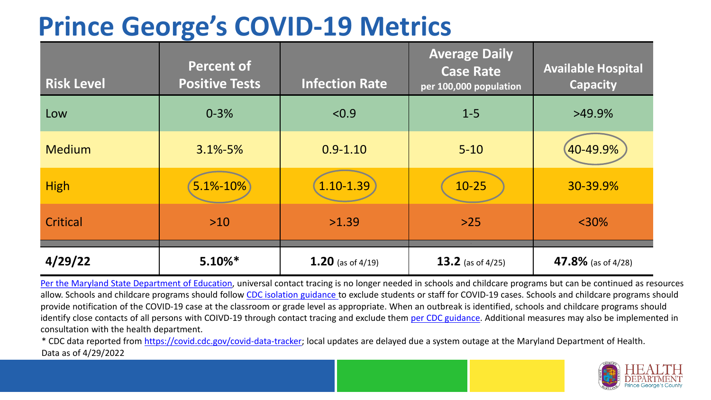## **Prince George's COVID-19 Metrics**

| <b>Risk Level</b> | <b>Percent of</b><br><b>Positive Tests</b> | <b>Infection Rate</b> | <b>Average Daily</b><br><b>Case Rate</b><br>per 100,000 population | <b>Available Hospital</b><br><b>Capacity</b> |
|-------------------|--------------------------------------------|-----------------------|--------------------------------------------------------------------|----------------------------------------------|
| Low               | $0 - 3%$                                   | < 0.9                 | $1 - 5$                                                            | $>49.9\%$                                    |
| <b>Medium</b>     | $3.1\% - 5\%$                              | $0.9 - 1.10$          | $5 - 10$                                                           | 40-49.9%                                     |
| <b>High</b>       | 5.1%-10%                                   | 1.10-1.39             | $10 - 25$                                                          | 30-39.9%                                     |
| Critical          | $>10$                                      | >1.39                 | $>25$                                                              | $<$ 30%                                      |
| 4/29/22           | $5.10\%*$                                  | 1.20 (as of $4/19$ )  | 13.2 (as of $4/25$ )                                               | 47.8% (as of 4/28)                           |

[Per the Maryland State Department of Education,](https://earlychildhood.marylandpublicschools.org/system/files/filedepot/3/covid_guidance_full_080420.pdf) universal contact tracing is no longer needed in schools and childcare programs but can be continued as resources allow. Schools and childcare programs should follow [CDC isolation guidance t](https://www.cdc.gov/coronavirus/2019-ncov/community/schools-childcare/k-12-contact-tracing/about-isolation.html)o exclude students or staff for COVID-19 cases. Schools and childcare programs should provide notification of the COVID-19 case at the classroom or grade level as appropriate. When an outbreak is identified, schools and childcare programs should identify close contacts of all persons with COIVD-19 through contact tracing and exclude them [per CDC guidance](https://www.cdc.gov/coronavirus/2019-ncov/your-health/quarantine-isolation.html). Additional measures may also be implemented in consultation with the health department.

\* CDC data reported from <https://covid.cdc.gov/covid-data-tracker>; local updates are delayed due a system outage at the Maryland Department of Health. Data as of 4/29/2022

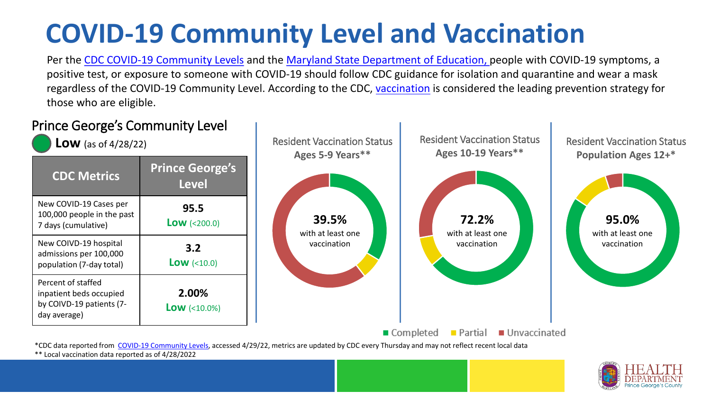# **COVID-19 Community Level and Vaccination**

Per the [CDC COVID-19 Community Levels](https://www.cdc.gov/coronavirus/2019-ncov/science/community-levels.html#anchor_82254) and the [Maryland State Department of Education,](https://earlychildhood.marylandpublicschools.org/system/files/filedepot/3/covid_guidance_full_080420.pdf) people with COVID-19 symptoms, a positive test, or exposure to someone with COVID-19 should follow CDC guidance for isolation and quarantine and wear a mask regardless of the COVID-19 Community Level. According to the CDC, [vaccination](https://www.cdc.gov/coronavirus/2019-ncov/prevent-getting-sick/prevention.html) is considered the leading prevention strategy for those who are eligible.



\*\* Local vaccination data reported as of 4/28/2022

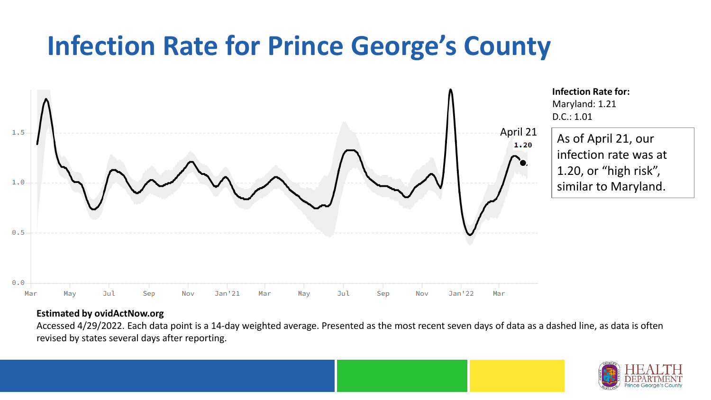## **Infection Rate for Prince George's County**



#### **Estimated by ovidActNow.org**

Accessed 4/29/2022. Each data point is a 14-day weighted average. Presented as the most recent seven days of data as a dashed line, as data is often revised by states several days after reporting.

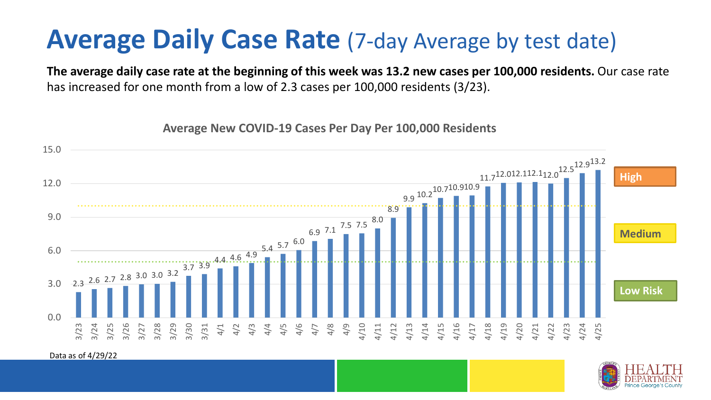### **Average Daily Case Rate** (7-day Average by test date)

**The average daily case rate at the beginning of this week was 13.2 new cases per 100,000 residents.** Our case rate has increased for one month from a low of 2.3 cases per 100,000 residents (3/23).

**Average New COVID-19 Cases Per Day Per 100,000 Residents**



Data as of 4/29/22